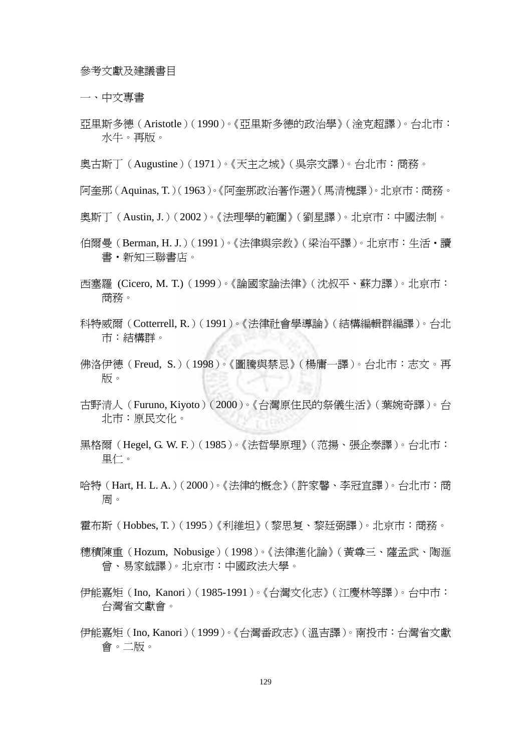參考文獻及建議書目

一、中文專書

亞里斯多德(Aristotle)(1990)。《亞里斯多德的政治學》(淦克超譯)。台北市: 水牛。再版。

奧古斯丁(Augustine)(1971)。《天主之城》(吳宗文譯)。台北市:商務。

阿奎那(Aquinas, T.)(1963)。《阿奎那政治著作選》(馬清槐譯)。北京市:商務。

- 奧斯丁(Austin, J.)(2002)。《法理學的範圍》(劉星譯)。北京市:中國法制。
- 伯爾曼 (Berman, H. J.) (1991)。《法律與宗教》 (梁治平譯)。北京市:生活·讀 書‧新知三聯書店。
- 西塞羅 (Cicero, M. T.)(1999)。《論國家論法律》(沈叔平、蘇力譯)。北京市: 商務。
- 科特威爾(Cotterrell, R.)(1991)。《法律社會學導論》(結構編輯群編譯)。台北 市:結構群。
- 佛洛伊德 (Freud, S.) (1998)。《圖騰與禁忌》 ( 楊庸一譯 )。 台北市:志文。 再 版。
- 古野清人(Furuno, Kiyoto)(2000)。《台灣原住民的祭儀生活》(葉婉奇譯)。台 北市:原民文化。
- 黑格爾(Hegel, G. W. F.)(1985)。《法哲學原理》(范揚、張企泰譯)。台北市: 里仁。
- 哈特 (Hart, H. L. A.) (2000)。《法律的概念》 (許家馨、李冠宜譯)。 台北市:商 周。
- 霍布斯(Hobbes, T.)(1995)《利維坦》(黎思复、黎廷弼譯)。北京市:商務。
- 穗積陳重(Hozum, Nobusige)(1998)。《法律進化論》(黃尊三、薩孟武、陶滙 曾、易家鉞譯)。北京市:中國政法大學。
- 伊能嘉矩(Ino, Kanori)(1985-1991)。《台灣文化志》(江慶林等譯)。台中市: 台灣省文獻會。
- 伊能嘉矩(Ino, Kanori)(1999)。《台灣番政志》(溫吉譯)。南投市:台灣省文獻 會。二版。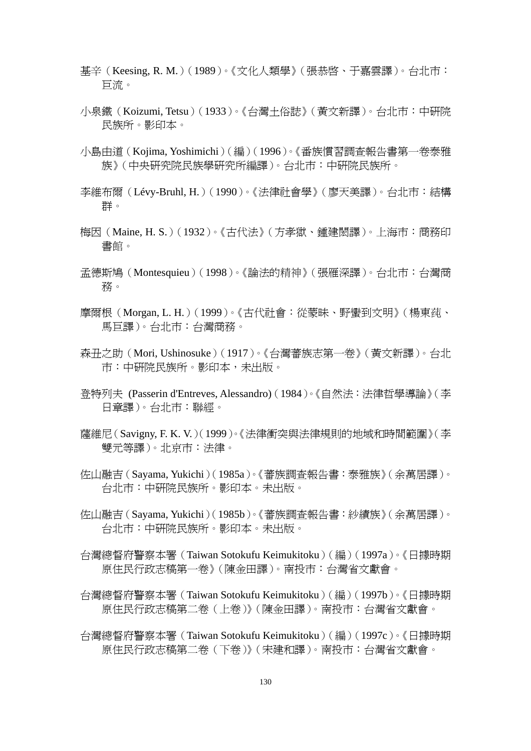- 基辛(Keesing, R. M.)(1989)。《文化人類學》(張恭啟、于嘉雲譯)。台北市: 巨流。
- 小泉鐵(Koizumi, Tetsu)(1933)。《台灣土俗誌》(黃文新譯)。台北市:中研院 民族所。影印本。
- 小島由道(Kojima, Yoshimichi)(編)(1996)。《番族慣習調查報告書第一卷泰雅 族》(中央研究院民族學研究所編譯)。台北市:中研院民族所。
- 李維布爾(Lévy-Bruhl, H.)(1990)。《法律社會學》(廖天美譯)。台北市:結構 群。
- 梅因(Maine, H. S.)(1932)。《古代法》(方孝獄、鍾建閎譯)。上海市:商務印 書館。
- 孟德斯鳩(Montesquieu)(1998)。《論法的精神》(張雁深譯)。台北市:台灣商 務。
- 摩爾根(Morgan, L. H.)(1999)。《古代社會:從蒙昧、野蠻到文明》(楊東莼、 馬巨譯)。台北市:台灣商務。
- 森丑之助(Mori, Ushinosuke)(1917)。《台灣蕃族志第一卷》(黃文新譯)。台北 市:中研院民族所。影印本,未出版。
- 登特列夫 (Passerin d'Entreves, Alessandro)(1984)。《自然法:法律哲學導論》(李 日章譯)。台北市:聯經。
- 薩維尼(Savigny, F. K. V.)(1999)。《法律衝突與法律規則的地域和時間範圍》(李 雙元等譯)。北京市:法律。
- 佐山融吉(Sayama, Yukichi)(1985a)。《蕃族調查報告書:泰雅族》(余萬居譯)。 台北市:中研院民族所。影印本。未出版。
- 佐山融吉(Sayama, Yukichi)(1985b)。《蕃族調查報告書:紗績族》(余萬居譯)。 台北市:中研院民族所。影印本。未出版。
- 台灣總督府警察本署(Taiwan Sotokufu Keimukitoku)(編)(1997a)。《日據時期 原住民行政志稿第一卷》(陳金田譯)。南投市:台灣省文獻會。
- 台灣總督府警察本署(Taiwan Sotokufu Keimukitoku)(編)(1997b)。《日據時期 原住民行政志稿第二卷(上卷)》(陳金田譯)。南投市:台灣省文獻會。
- 台灣總督府警察本署(Taiwan Sotokufu Keimukitoku)(編)(1997c)。《日據時期 原住民行政志稿第二卷(下卷)》(宋建和譯)。南投市:台灣省文獻會。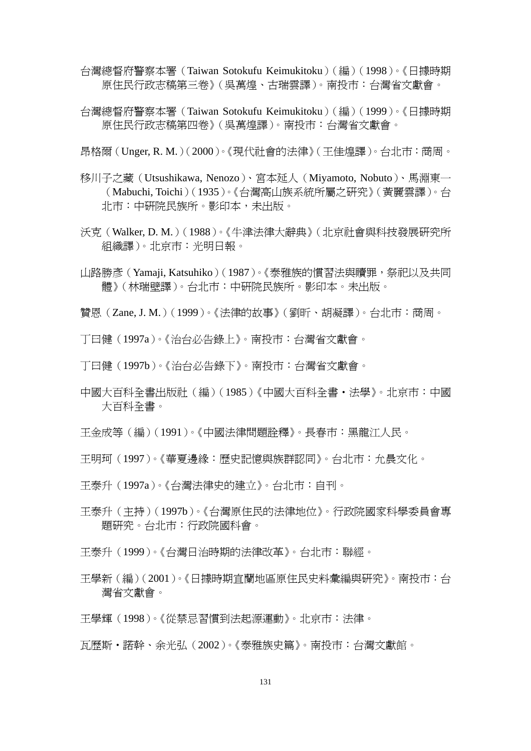台灣總督府警察本署(Taiwan Sotokufu Keimukitoku)(編)(1998)。《日據時期 原住民行政志稿第三卷》(吳萬煌、古瑞雲譯)。南投市:台灣省文獻會。

台灣總督府警察本署(Taiwan Sotokufu Keimukitoku)(編)(1999)。《日據時期 原住民行政志稿第四卷》(吳萬煌譯)。南投市:台灣省文獻會。

昂格爾(Unger, R. M.)(2000)。《現代社會的法律》(王佳煌譯)。台北市:商周。

- 移川子之藏(Utsushikawa, Nenozo)、宮本延人(Miyamoto, Nobuto)、馬淵東一 (Mabuchi, Toichi)(1935)。《台灣高山族系統所屬之研究》(黃麗雲譯)。台 北市:中研院民族所。影印本,未出版。
- 沃克(Walker, D. M.)(1988)。《牛津法律大辭典》(北京社會與科技發展研究所 組織譯)。北京市:光明日報。
- 山路勝彥(Yamaji, Katsuhiko)(1987)。《泰雅族的慣習法與贖罪,祭祀以及共同 體》(林瑞壁譯)。台北市:中研院民族所。影印本。未出版。
- 贊恩(Zane, J. M.)(1999)。《法律的故事》(劉昕、胡凝譯)。台北市:商周。
- 丁曰健(1997a)。《治台必告錄上》。南投市:台灣省文獻會。
- 丁曰健(1997b)。《治台必告錄下》。南投市:台灣省文獻會。
- 中國大百科全書出版社(編)(1985)《中國大百科全書‧法學》。北京市:中國 大百科全書。
- 王金成等(編)(1991)。《中國法律問題詮釋》。長春市:黑龍江人民。
- 王明珂(1997)。《華夏邊緣:歷史記憶與族群認同》。台北市:允晨文化。
- 王泰升(1997a)。《台灣法律史的建立》。台北市:自刊。
- 王泰升(主持)(1997b)。《台灣原住民的法律地位》。行政院國家科學委員會專 題研究。台北市:行政院國科會。
- 王泰升(1999)。《台灣日治時期的法律改革》。台北市:聯經。
- 王學新(編)(2001)。《日據時期宜蘭地區原住民史料彙編與研究》。南投市:台 灣省文獻會。
- 王學輝(1998)。《從禁忌習慣到法起源運動》。北京市:法律。
- 瓦歷斯‧諾幹、余光弘(2002)。《泰雅族史篇》。南投市:台灣文獻館。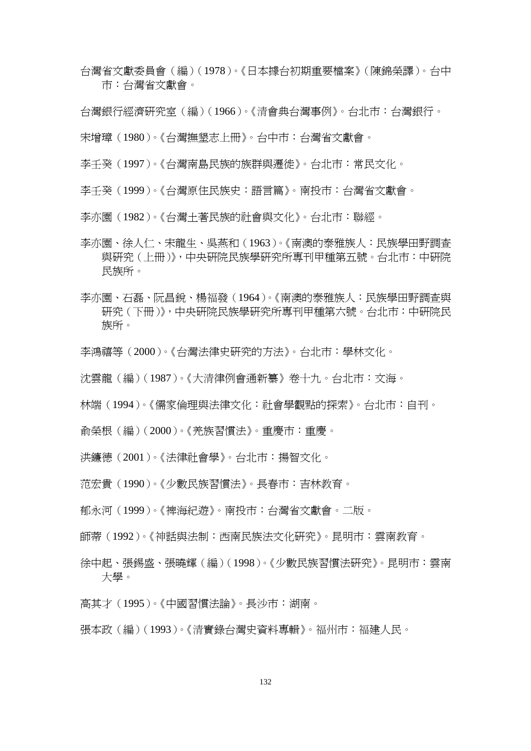- 台灣省文獻委員會(編)(1978)。《日本據台初期重要檔案》(陳錦榮譯)。台中 市:台灣省文獻會。
- 台灣銀行經濟研究室(編)(1966)。《清會典台灣事例》。台北市:台灣銀行。
- 宋增璋(1980)。《台灣撫墾志上冊》。台中市:台灣省文獻會。
- 李壬癸(1997)。《台灣南島民族的族群與遷徙》。台北市:常民文化。
- 李壬癸(1999)。《台灣原住民族史:語言篇》。南投市:台灣省文獻會。
- 李亦園(1982)。《台灣土著民族的社會與文化》。台北市:聯經。
- 李亦園、徐人仁、宋龍生、吳燕和(1963)。《南澳的泰雅族人:民族學田野調查 與研究(上冊)》,中央研院民族學研究所專刊甲種第五號。台北市:中研院 民族所。
- 李亦園、石磊、阮昌銳、楊福發(1964)。《南澳的泰雅族人:民族學田野調查與 研究(下冊)》,中央研院民族學研究所專刊甲種第六號。台北市:中研院民 族所。
- 李鴻禧等(2000)。《台灣法律史研究的方法》。台北市:學林文化。
- 沈雲龍(編)(1987)。《大清律例會通新纂》卷十九。台北市:文海。
- 林端(1994)。《儒家倫理與法律文化:社會學觀點的探索》。台北市:自刊。
- 俞榮根(編)(2000)。《羌族習慣法》。重慶市:重慶。
- 洪鐮德(2001)。《法律社會學》。台北市:揚智文化。
- 范宏貴(1990)。《少數民族習慣法》。長春市:吉林教育。
- 郁永河(1999)。《裨海紀遊》。南投市:台灣省文獻會。二版。
- 師蒂(1992)。《神話與法制:西南民族法文化研究》。昆明市:雲南教育。
- 徐中起、張錫盛、張曉輝(編)(1998)。《少數民族習慣法研究》。昆明市:雲南 大學。
- 高其才(1995)。《中國習慣法論》。長沙市:湖南。
- 張本政(編)(1993)。《清實錄台灣史資料專輯》。福州市:福建人民。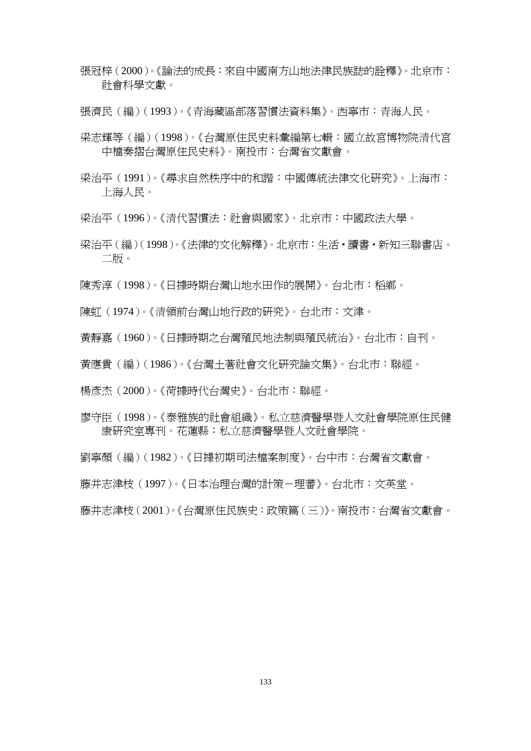張冠梓(2000)。《論法的成長:來自中國南方山地法律民族誌的詮釋》。北京市: 社會科學文獻。

張濟民(編)(1993)。《青海藏區部落習慣法資料集》。西寧市:青海人民。

- 梁志輝等(編)(1998)。《台灣原住民史料彙編第七輯:國立故宮博物院清代宮 中檔奏摺台灣原住民史料》。南投市:台灣省文獻會。
- 梁治平(1991)。《尋求自然秩序中的和諧:中國傳統法律文化研究》。上海市: 上海人民。
- 梁治平(1996)。《清代習慣法:社會與國家》。北京市:中國政法大學。
- 梁治平(編)(1998)。《法律的文化解釋》。北京市:生活‧讀書‧新知三聯書店。 二版。
- 陳秀淳(1998)。《日據時期台灣山地水田作的展開》。台北市:稻鄉。
- 陳虹(1974)。《清領前台灣山地行政的研究》。台北市:文津。
- 黃靜嘉(1960)。《日據時期之台灣殖民地法制與殖民統治》。台北市:自刊。
- 黃應貴(編)(1986)。《台灣土著社會文化研究論文集》。台北市:聯經。
- 楊彥杰(2000)。《荷據時代台灣史》。台北市:聯經。
- 廖守臣(1998)。《泰雅族的社會組織》。私立慈濟醫學暨人文社會學院原住民健 康研究室專刊。花蓮縣:私立慈濟醫學暨人文社會學院。
- 劉寧顏(編)(1982)。《日據初期司法檔案制度》。台中市:台灣省文獻會。

藤井志津枝(1997)。《日本治理台灣的計策-理蕃》。台北市:文英堂。

藤井志津枝(2001)。《台灣原住民族史:政策篇(三)》。南投市:台灣省文獻會。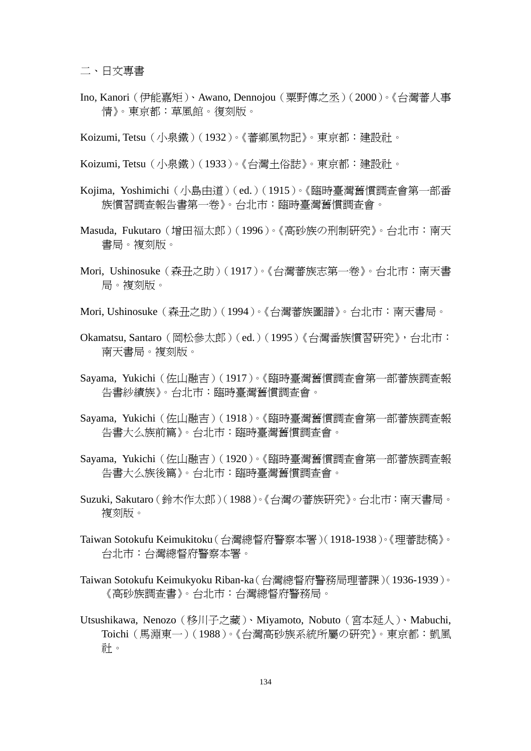二、日文專書

- Ino, Kanori(伊能嘉矩)、Awano, Dennojou(粟野傳之丞)(2000)。《台灣蕃人事 情》。東京都:草風館。復刻版。
- Koizumi, Tetsu(小泉鐵)(1932)。《蕃鄉風物記》。東京都:建設社。
- Koizumi, Tetsu(小泉鐵)(1933)。《台灣土俗誌》。東京都:建設社。
- Kojima, Yoshimichi(小島由道)(ed.)(1915)。《臨時臺灣舊慣調查會第一部番 族慣習調查報告書第一卷》。台北市:臨時臺灣舊慣調查會。
- Masuda, Fukutaro(增田福太郎)(1996)。《高砂族の刑制研究》。台北市:南天 書局。複刻版。
- Mori, Ushinosuke(森丑之助)(1917)。《台灣蕃族志第一卷》。台北市:南天書 局。複刻版。
- Mori, Ushinosuke(森丑之助)(1994)。《台灣蕃族圖譜》。台北市:南天書局。
- Okamatsu, Santaro (岡松參太郎) (ed.)(1995)《台灣番族慣習研究》, 台北市: 南天書局。複刻版。
- Sayama, Yukichi(佐山融吉)(1917)。《臨時臺灣舊慣調查會第一部蕃族調查報 告書紗績族》。台北市:臨時臺灣舊慣調查會。
- Sayama, Yukichi(佐山融吉)(1918)。《臨時臺灣舊慣調查會第一部蕃族調查報 告書大么族前篇》。台北市:臨時臺灣舊慣調查會。
- Sayama, Yukichi(佐山融吉)(1920)。《臨時臺灣舊慣調查會第一部蕃族調查報 告書大么族後篇》。台北市:臨時臺灣舊慣調查會。
- Suzuki, Sakutaro(鈴木作太郎)(1988)。《台灣の蕃族研究》。台北市:南天書局。 複刻版。
- Taiwan Sotokufu Keimukitoku(台灣總督府警察本署)(1918-1938)。《理蕃誌稿》。 台北市:台灣總督府警察本署。
- Taiwan Sotokufu Keimukyoku Riban-ka(台灣總督府警務局理蕃課)(1936-1939)。 《高砂族調查書》。台北市:台灣總督府警務局。
- Utsushikawa, Nenozo(移川子之藏)、Miyamoto, Nobuto(宮本延人)、Mabuchi, Toichi(馬淵東一)(1988)。《台灣高砂族系統所屬の研究》。東京都:凱風 社。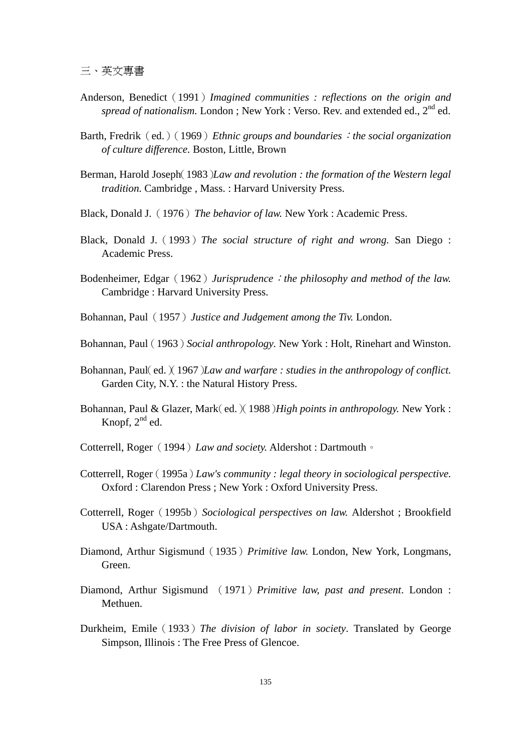三、英文專書

- Anderson, Benedict(1991)*Imagined communities : reflections on the origin and spread of nationalism.* London ; New York : Verso. Rev. and extended ed., 2<sup>nd</sup> ed.
- Barth, Fredrik(ed.)(1969)*Ethnic groups and boundaries*:*the social organization of culture difference.* Boston, Little, Brown
- Berman, Harold Joseph(1983)*Law and revolution : the formation of the Western legal tradition.* Cambridge , Mass. : Harvard University Press.
- Black, Donald J.(1976)*The behavior of law.* New York : Academic Press.
- Black, Donald J.(1993)*The social structure of right and wrong.* San Diego : Academic Press.
- Bodenheimer, Edgar(1962)*Jurisprudence*:*the philosophy and method of the law.*  Cambridge : Harvard University Press.
- Bohannan, Paul(1957)*Justice and Judgement among the Tiv.* London.
- Bohannan, Paul(1963)*Social anthropology.* New York : Holt, Rinehart and Winston.
- Bohannan, Paul(ed.)(1967)*Law and warfare : studies in the anthropology of conflict.* Garden City, N.Y. : the Natural History Press.
- Bohannan, Paul & Glazer, Mark(ed.)(1988)*High points in anthropology.* New York : Knopf,  $2<sup>nd</sup>$  ed.
- Cotterrell, Roger(1994)*Law and society.* Aldershot : Dartmouth。
- Cotterrell, Roger(1995a)*Law's community : legal theory in sociological perspective.*  Oxford : Clarendon Press ; New York : Oxford University Press.
- Cotterrell, Roger(1995b)*Sociological perspectives on law.* Aldershot ; Brookfield USA : Ashgate/Dartmouth.
- Diamond, Arthur Sigismund(1935)*Primitive law.* London, New York, Longmans, Green.
- Diamond, Arthur Sigismund (1971)*Primitive law, past and present*. London : Methuen.
- Durkheim, Emile(1933)*The division of labor in society*. Translated by George Simpson, Illinois : The Free Press of Glencoe.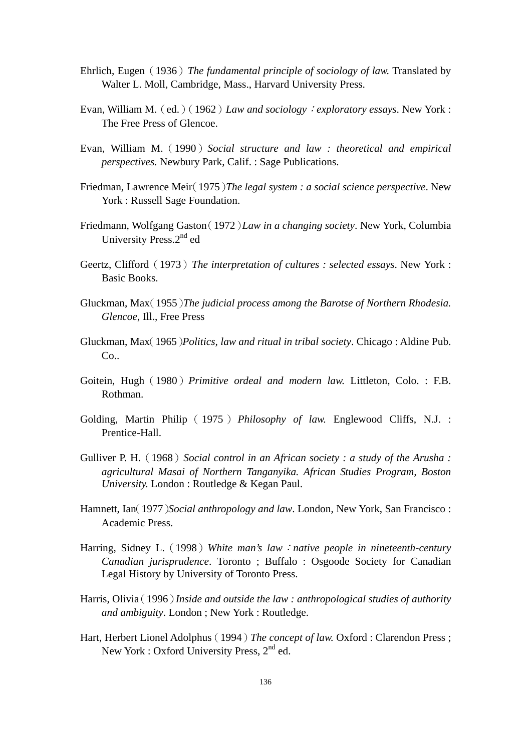- Ehrlich, Eugen(1936)*The fundamental principle of sociology of law.* Translated by Walter L. Moll, Cambridge, Mass., Harvard University Press.
- Evan, William M.(ed.)(1962)*Law and sociology*:*exploratory essays*. New York : The Free Press of Glencoe.
- Evan, William M.(1990)*Social structure and law : theoretical and empirical perspectives.* Newbury Park, Calif. : Sage Publications.
- Friedman, Lawrence Meir(1975)*The legal system : a social science perspective*. New York : Russell Sage Foundation.
- Friedmann, Wolfgang Gaston(1972)*Law in a changing society*. New York, Columbia University Press.2<sup>nd</sup> ed
- Geertz, Clifford(1973)*The interpretation of cultures : selected essays*. New York : Basic Books.
- Gluckman, Max(1955)*The judicial process among the Barotse of Northern Rhodesia. Glencoe*, Ill., Free Press
- Gluckman, Max(1965)*Politics, law and ritual in tribal society*. Chicago : Aldine Pub.  $Co.$
- Goitein, Hugh(1980)*Primitive ordeal and modern law.* Littleton, Colo. : F.B. Rothman.
- Golding, Martin Philip ( 1975 ) *Philosophy of law.* Englewood Cliffs, N.J. : Prentice-Hall.
- Gulliver P. H.(1968)*Social control in an African society : a study of the Arusha : agricultural Masai of Northern Tanganyika. African Studies Program, Boston University.* London : Routledge & Kegan Paul.
- Hamnett, Ian(1977)*Social anthropology and law*. London, New York, San Francisco : Academic Press.
- Harring, Sidney L.(1998)*White man's law*:*native people in nineteenth-century Canadian jurisprudence*. Toronto ; Buffalo : Osgoode Society for Canadian Legal History by University of Toronto Press.
- Harris, Olivia(1996)*Inside and outside the law : anthropological studies of authority and ambiguity*. London ; New York : Routledge.
- Hart, Herbert Lionel Adolphus(1994)*The concept of law.* Oxford : Clarendon Press ; New York : Oxford University Press, 2<sup>nd</sup> ed.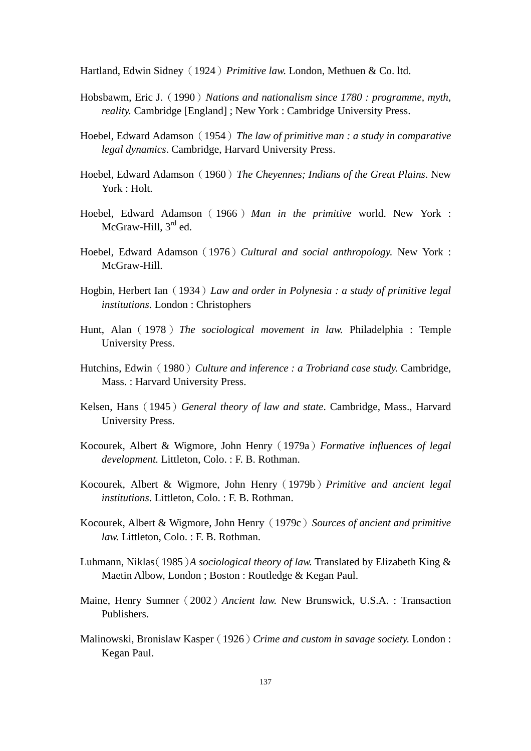Hartland, Edwin Sidney(1924)*Primitive law.* London, Methuen & Co. ltd.

- Hobsbawm, Eric J.(1990)*Nations and nationalism since 1780 : programme, myth, reality.* Cambridge [England] ; New York : Cambridge University Press.
- Hoebel, Edward Adamson(1954)*The law of primitive man : a study in comparative legal dynamics*. Cambridge, Harvard University Press.
- Hoebel, Edward Adamson(1960)*The Cheyennes; Indians of the Great Plains*. New York : Holt.
- Hoebel, Edward Adamson(1966)*Man in the primitive* world. New York : McGraw-Hill, 3<sup>rd</sup> ed.
- Hoebel, Edward Adamson(1976)*Cultural and social anthropology.* New York : McGraw-Hill.
- Hogbin, Herbert Ian(1934)*Law and order in Polynesia : a study of primitive legal institutions.* London : Christophers
- Hunt, Alan(1978)*The sociological movement in law.* Philadelphia : Temple University Press.
- Hutchins, Edwin(1980)*Culture and inference : a Trobriand case study.* Cambridge, Mass. : Harvard University Press.
- Kelsen, Hans(1945)*General theory of law and state*. Cambridge, Mass., Harvard University Press.
- Kocourek, Albert & Wigmore, John Henry(1979a)*Formative influences of legal development.* Littleton, Colo. : F. B. Rothman.
- Kocourek, Albert & Wigmore, John Henry(1979b)*Primitive and ancient legal institutions*. Littleton, Colo. : F. B. Rothman.
- Kocourek, Albert & Wigmore, John Henry(1979c)*Sources of ancient and primitive law.* Littleton, Colo. : F. B. Rothman.
- Luhmann, Niklas(1985)*A sociological theory of law.* Translated by Elizabeth King & Maetin Albow, London ; Boston : Routledge & Kegan Paul.
- Maine, Henry Sumner(2002)*Ancient law.* New Brunswick, U.S.A. : Transaction Publishers.
- Malinowski, Bronislaw Kasper(1926)*Crime and custom in savage society.* London : Kegan Paul.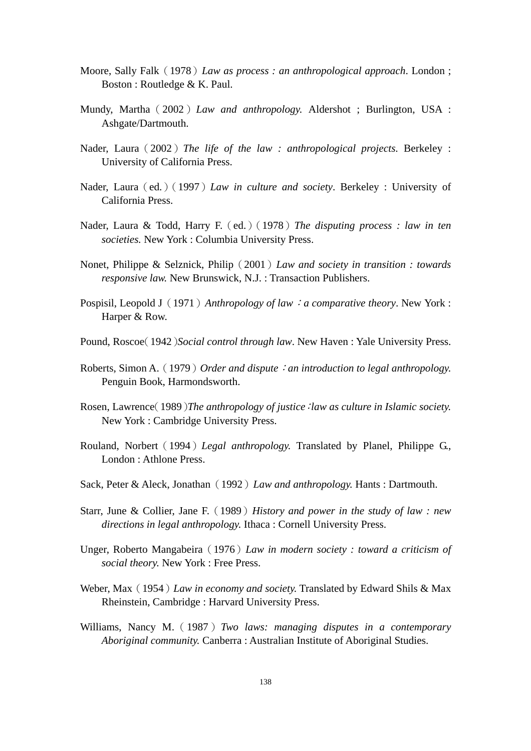- Moore, Sally Falk(1978)*Law as process : an anthropological approach*. London ; Boston : Routledge & K. Paul.
- Mundy, Martha(2002)*Law and anthropology.* Aldershot ; Burlington, USA : Ashgate/Dartmouth.
- Nader, Laura(2002)*The life of the law : anthropological projects*. Berkeley : University of California Press.
- Nader, Laura(ed.)(1997)*Law in culture and society*. Berkeley : University of California Press.
- Nader, Laura & Todd, Harry F.(ed.)(1978)*The disputing process : law in ten societies.* New York : Columbia University Press.
- Nonet, Philippe & Selznick, Philip(2001)*Law and society in transition : towards responsive law.* New Brunswick, N.J. : Transaction Publishers.
- Pospisil, Leopold J(1971)*Anthropology of law*:*a comparative theory*. New York : Harper & Row.
- Pound, Roscoe(1942)*Social control through law*. New Haven : Yale University Press.
- Roberts, Simon A.(1979)*Order and dispute*:*an introduction to legal anthropology.*  Penguin Book, Harmondsworth.
- Rosen, Lawrence(1989)*The anthropology of justice*:*law as culture in Islamic society.*  New York : Cambridge University Press.
- Rouland, Norbert(1994)*Legal anthropology.* Translated by Planel, Philippe G., London : Athlone Press.
- Sack, Peter & Aleck, Jonathan(1992)*Law and anthropology.* Hants : Dartmouth.
- Starr, June & Collier, Jane F.(1989)*History and power in the study of law : new directions in legal anthropology.* Ithaca : Cornell University Press.
- Unger, Roberto Mangabeira(1976)*Law in modern society : toward a criticism of social theory.* New York : Free Press.
- Weber, Max(1954)*Law in economy and society.* Translated by Edward Shils & Max Rheinstein, Cambridge : Harvard University Press.
- Williams, Nancy M.(1987)*Two laws: managing disputes in a contemporary Aboriginal community.* Canberra : Australian Institute of Aboriginal Studies.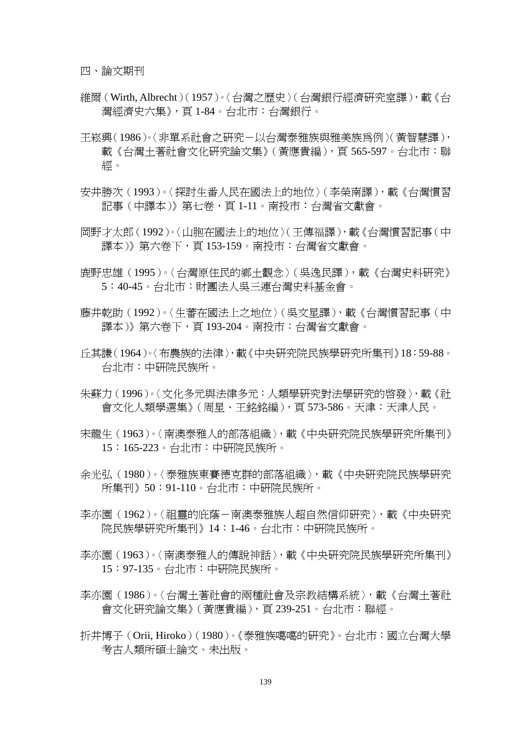四、論文期刊

- 維爾(Wirth, Albrecht)(1957)。〈台灣之歷史〉(台灣銀行經濟研究室譯),載《台 灣經濟史六集》,頁 1-84。台北市:台灣銀行。
- 王崧興(1986)。〈非單系社會之研究-以台灣泰雅族與雅美族為例〉(黃智慧譯), 載《台灣土著社會文化研究論文集》(黃應貴編),頁 565-597。台北市:聯 經。
- 安井勝次(1993)。〈探討生番人民在國法上的地位〉(李榮南譯),載《台灣慣習 記事 (中譯本)》第七卷,頁 1-11。南投市:台灣省文獻會。
- 岡野才太郎(1992)。〈山胞在國法上的地位〉(王傳福譯),載《台灣慣習記事(中 譯本)》第六卷下,頁 153-159。南投市:台灣省文獻會。
- 鹿野忠雄(1995)。〈台灣原住民的鄉土觀念〉(吳逸民譯),載《台灣史料研究》 5:40-45。台北市:財團法人吳三連台灣史料基金會。
- 藤井乾助(1992)。〈生蕃在國法上之地位〉(吳文星譯),載《台灣慣習記事(中 譯本)》第六卷下,頁 193-204。南投市:台灣省文獻會。
- 丘其謙(1964)。〈布農族的法律〉,載《中央研究院民族學研究所集刊》18:59-88。 台北市:中研院民族所。
- 朱蘇力(1996)。〈文化多元與法律多元:人類學研究對法學研究的啟發〉,載《社 會文化人類學選集》(周星、王銘銘編),頁 573-586。天津:天津人民。
- 宋龍生(1963)。〈南澳泰雅人的部落組織〉,載《中央研究院民族學研究所集刊》 15:165-223。台北市:中研院民族所。
- 余光弘(1980)。〈泰雅族東賽德克群的部落組織〉,載《中央研究院民族學研究 所集刊》50:91-110。台北市:中研院民族所。
- 李亦園(1962)。〈祖靈的庇蔭-南澳泰雅族人超自然信仰研究〉,載《中央研究 院民族學研究所集刊》14:1-46。台北市:中研院民族所。
- 李亦園(1963)。〈南澳泰雅人的傳說神話〉,載《中央研究院民族學研究所集刊》 15:97-135。台北市:中研院民族所。
- 李亦園(1986)。〈台灣十著社會的兩種社會及宗教結構系統〉,載《台灣十著社 會文化研究論文集》(黃應貴編),頁 239-251。台北市:聯經。
- 折井博子(Orii, Hiroko)(1980)。《泰雅族噶噶的研究》。台北市:國立台灣大學 考古人類所碩士論文。未出版。